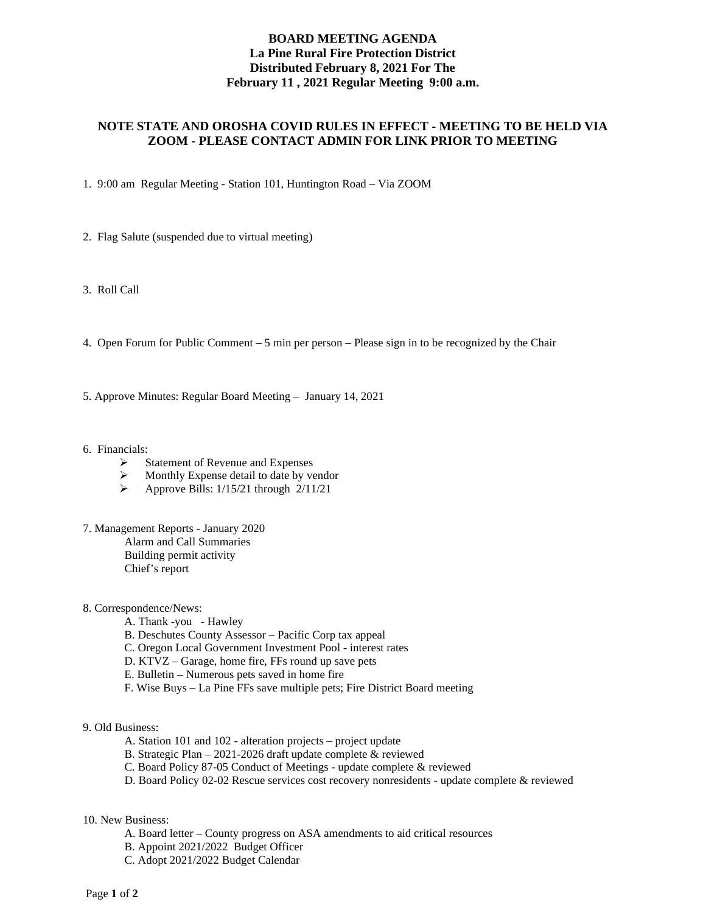## **BOARD MEETING AGENDA La Pine Rural Fire Protection District Distributed February 8, 2021 For The February 11 , 2021 Regular Meeting 9:00 a.m.**

## **NOTE STATE AND OROSHA COVID RULES IN EFFECT - MEETING TO BE HELD VIA ZOOM - PLEASE CONTACT ADMIN FOR LINK PRIOR TO MEETING**

1. 9:00 am Regular Meeting - Station 101, Huntington Road – Via ZOOM

- 2. Flag Salute (suspended due to virtual meeting)
- 3. Roll Call
- 4. Open Forum for Public Comment 5 min per person Please sign in to be recognized by the Chair
- 5. Approve Minutes: Regular Board Meeting January 14, 2021
- 6. Financials:
	- $\triangleright$  Statement of Revenue and Expenses
	- $\triangleright$  Monthly Expense detail to date by vendor<br> $\triangleright$  Approve Bills: 1/15/21 through 2/11/21
	- Approve Bills: 1/15/21 through 2/11/21
- 7. Management Reports January 2020 Alarm and Call Summaries Building permit activity Chief's report
- 8. Correspondence/News:
	- A. Thank -you Hawley
	- B. Deschutes County Assessor Pacific Corp tax appeal
	- C. Oregon Local Government Investment Pool interest rates
	- D. KTVZ Garage, home fire, FFs round up save pets
	- E. Bulletin Numerous pets saved in home fire
	- F. Wise Buys La Pine FFs save multiple pets; Fire District Board meeting
- 9. Old Business:
	- A. Station 101 and 102 alteration projects project update
	- B. Strategic Plan 2021-2026 draft update complete & reviewed
	- C. Board Policy 87-05 Conduct of Meetings update complete & reviewed
	- D. Board Policy 02-02 Rescue services cost recovery nonresidents update complete & reviewed

#### 10. New Business:

- A. Board letter County progress on ASA amendments to aid critical resources
- B. Appoint 2021/2022 Budget Officer
- C. Adopt 2021/2022 Budget Calendar